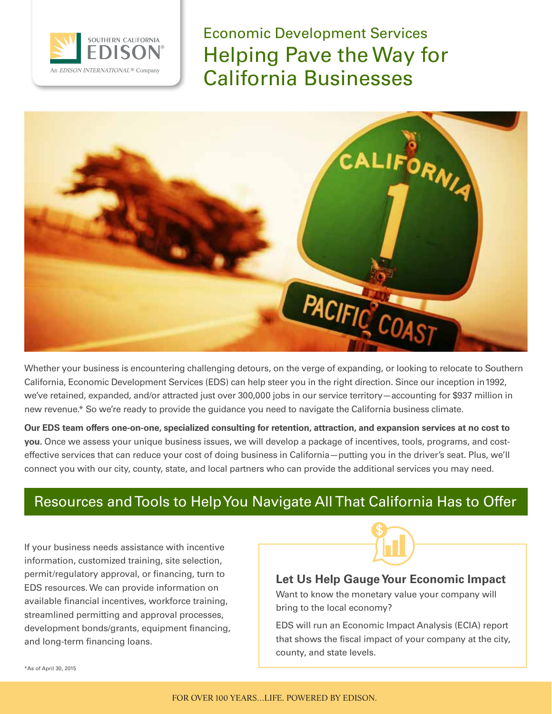

Economic Development Services Helping Pave the Way for California Businesses



Whether your business is encountering challenging detours, on the verge of expanding, or looking to relocate to Southern California, Economic Development Services (EDS) can help steer you in the right direction. Since our inception in 1992, we've retained, expanded, and/or attracted just over 300,000 jobs in our service territory—accounting for \$937 million in new revenue.\* So we're ready to provide the guidance you need to navigate the California business climate.

**Our EDS team offers one-on-one, specialized consulting for retention, attraction, and expansion services at no cost to you.** Once we assess your unique business issues, we will develop a package of incentives, tools, programs, and costeffective services that can reduce your cost of doing business in California—putting you in the driver's seat. Plus, we'll connect you with our city, county, state, and local partners who can provide the additional services you may need.

## Resources and Tools to Help You Navigate All That California Has to Offer

If your business needs assistance with incentive information, customized training, site selection, permit/regulatory approval, or financing, turn to EDS resources. We can provide information on available financial incentives, workforce training, streamlined permitting and approval processes, development bonds/grants, equipment financing, and long-term financing loans.



### **Let Us Help Gauge Your Economic Impact**

Want to know the monetary value your company will bring to the local economy?

EDS will run an Economic Impact Analysis (ECIA) report that shows the fiscal impact of your company at the city, county, and state levels.

\*As of April 30, 2015